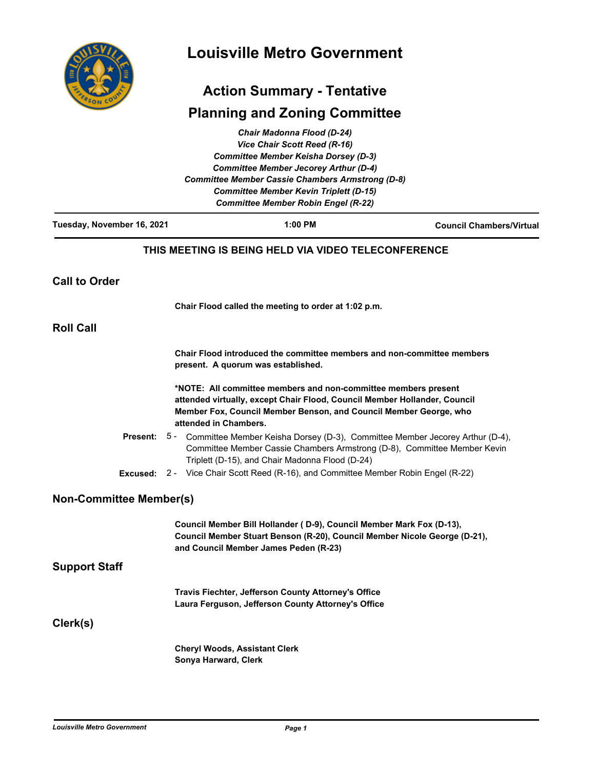

# **Louisville Metro Government**

# **Action Summary - Tentative**

# **Planning and Zoning Committee**

|                                             | Chair Madonna Flood (D-24)                                                                                                                  |                                                                                                                                                                              |  |
|---------------------------------------------|---------------------------------------------------------------------------------------------------------------------------------------------|------------------------------------------------------------------------------------------------------------------------------------------------------------------------------|--|
|                                             | Vice Chair Scott Reed (R-16)                                                                                                                |                                                                                                                                                                              |  |
| <b>Committee Member Keisha Dorsey (D-3)</b> |                                                                                                                                             |                                                                                                                                                                              |  |
|                                             | <b>Committee Member Jecorey Arthur (D-4)</b><br><b>Committee Member Cassie Chambers Armstrong (D-8)</b>                                     |                                                                                                                                                                              |  |
|                                             | <b>Committee Member Kevin Triplett (D-15)</b>                                                                                               |                                                                                                                                                                              |  |
|                                             | <b>Committee Member Robin Engel (R-22)</b>                                                                                                  |                                                                                                                                                                              |  |
| Tuesday, November 16, 2021                  | 1:00 PM                                                                                                                                     | <b>Council Chambers/Virtual</b>                                                                                                                                              |  |
|                                             | THIS MEETING IS BEING HELD VIA VIDEO TELECONFERENCE                                                                                         |                                                                                                                                                                              |  |
| <b>Call to Order</b>                        |                                                                                                                                             |                                                                                                                                                                              |  |
|                                             | Chair Flood called the meeting to order at 1:02 p.m.                                                                                        |                                                                                                                                                                              |  |
| <b>Roll Call</b>                            |                                                                                                                                             |                                                                                                                                                                              |  |
|                                             | present. A quorum was established.                                                                                                          | Chair Flood introduced the committee members and non-committee members                                                                                                       |  |
|                                             | *NOTE: All committee members and non-committee members present<br>attended virtually, except Chair Flood, Council Member Hollander, Council |                                                                                                                                                                              |  |
|                                             |                                                                                                                                             |                                                                                                                                                                              |  |
|                                             | Member Fox, Council Member Benson, and Council Member George, who<br>attended in Chambers.                                                  |                                                                                                                                                                              |  |
|                                             | Triplett (D-15), and Chair Madonna Flood (D-24)                                                                                             | <b>Present:</b> 5 - Committee Member Keisha Dorsey (D-3), Committee Member Jecorey Arthur (D-4),<br>Committee Member Cassie Chambers Armstrong (D-8), Committee Member Kevin |  |
|                                             | <b>Excused:</b> 2 - Vice Chair Scott Reed (R-16), and Committee Member Robin Engel (R-22)                                                   |                                                                                                                                                                              |  |
| <b>Non-Committee Member(s)</b>              |                                                                                                                                             |                                                                                                                                                                              |  |
|                                             | Council Member Bill Hollander (D-9), Council Member Mark Fox (D-13),                                                                        |                                                                                                                                                                              |  |
|                                             | Council Member Stuart Benson (R-20), Council Member Nicole George (D-21),<br>and Council Member James Peden (R-23)                          |                                                                                                                                                                              |  |
| <b>Support Staff</b>                        |                                                                                                                                             |                                                                                                                                                                              |  |
|                                             | Travis Fiechter, Jefferson County Attorney's Office                                                                                         |                                                                                                                                                                              |  |
|                                             | Laura Ferguson, Jefferson County Attorney's Office                                                                                          |                                                                                                                                                                              |  |
| Clerk(s)                                    |                                                                                                                                             |                                                                                                                                                                              |  |
|                                             | <b>Cheryl Woods, Assistant Clerk</b>                                                                                                        |                                                                                                                                                                              |  |
|                                             | Sonya Harward, Clerk                                                                                                                        |                                                                                                                                                                              |  |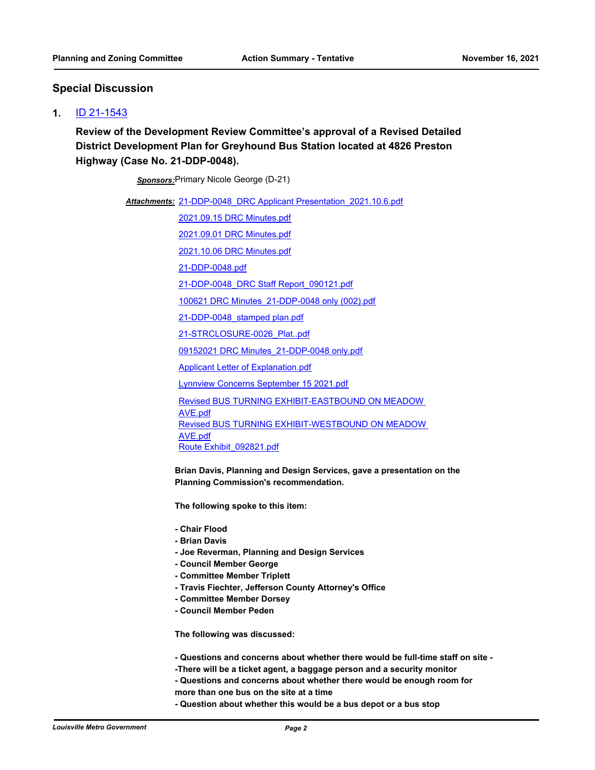## **Special Discussion**

#### **1.** [ID 21-1543](http://louisville.legistar.com/gateway.aspx?m=l&id=/matter.aspx?key=59037)

**Review of the Development Review Committee's approval of a Revised Detailed District Development Plan for Greyhound Bus Station located at 4826 Preston Highway (Case No. 21-DDP-0048).**

*Sponsors:*Primary Nicole George (D-21)

Attachments: 21-DDP-0048 DRC Applicant Presentation 2021.10.6.pdf

[2021.09.15 DRC Minutes.pdf](http://louisville.legistar.com/gateway.aspx?M=F&ID=492b218b-655c-4588-8be5-3112db8753c3.pdf)

[2021.09.01 DRC Minutes.pdf](http://louisville.legistar.com/gateway.aspx?M=F&ID=56b42513-1bc2-4e4b-aace-0e8438a40d00.pdf)

[2021.10.06 DRC Minutes.pdf](http://louisville.legistar.com/gateway.aspx?M=F&ID=06375996-9e32-48dc-b938-9babaa791cd8.pdf)

[21-DDP-0048.pdf](http://louisville.legistar.com/gateway.aspx?M=F&ID=7373e2d0-c5ad-4121-b880-69dc6e9a7d8b.pdf)

[21-DDP-0048\\_DRC Staff Report\\_090121.pdf](http://louisville.legistar.com/gateway.aspx?M=F&ID=c7e9ae72-c194-4694-98f7-76aefe395790.pdf)

[100621 DRC Minutes\\_21-DDP-0048 only \(002\).pdf](http://louisville.legistar.com/gateway.aspx?M=F&ID=c4c025e8-53df-42dc-9818-d9c3066da8cd.pdf)

[21-DDP-0048\\_stamped plan.pdf](http://louisville.legistar.com/gateway.aspx?M=F&ID=ab440913-c92e-4f37-972d-d0035285ae38.pdf)

[21-STRCLOSURE-0026\\_Plat..pdf](http://louisville.legistar.com/gateway.aspx?M=F&ID=7813e649-aec7-4b94-8d8b-94a24fd82cb5.pdf)

[09152021 DRC Minutes\\_21-DDP-0048 only.pdf](http://louisville.legistar.com/gateway.aspx?M=F&ID=363ca9af-a54a-4a9f-ab08-6ea13212927d.pdf)

[Applicant Letter of Explanation.pdf](http://louisville.legistar.com/gateway.aspx?M=F&ID=f5dd1567-4d22-4404-9c75-a29fcdcc859c.pdf)

[Lynnview Concerns September 15 2021.pdf](http://louisville.legistar.com/gateway.aspx?M=F&ID=13795926-9aa1-4f9b-ba9d-1536ed6d4608.pdf)

[Revised BUS TURNING EXHIBIT-EASTBOUND ON MEADOW](http://louisville.legistar.com/gateway.aspx?M=F&ID=a755e9ab-0c60-4253-b1c5-ecdd8df9773e.pdf)  AVE.pdf [Revised BUS TURNING EXHIBIT-WESTBOUND ON MEADOW](http://louisville.legistar.com/gateway.aspx?M=F&ID=f6fe1fb5-f591-4466-9ca1-37cdf6945281.pdf)  AVE.pdf [Route Exhibit\\_092821.pdf](http://louisville.legistar.com/gateway.aspx?M=F&ID=c0293bb7-63cb-497c-95d9-96a09f4a2308.pdf)

**Brian Davis, Planning and Design Services, gave a presentation on the Planning Commission's recommendation.** 

**The following spoke to this item:**

- **Chair Flood**
- **Brian Davis**
- **Joe Reverman, Planning and Design Services**
- **Council Member George**
- **Committee Member Triplett**
- **Travis Fiechter, Jefferson County Attorney's Office**
- **Committee Member Dorsey**
- **Council Member Peden**

**The following was discussed:**

- **Questions and concerns about whether there would be full-time staff on site -**
- **-There will be a ticket agent, a baggage person and a security monitor**
- **Questions and concerns about whether there would be enough room for**
- **more than one bus on the site at a time**
- **Question about whether this would be a bus depot or a bus stop**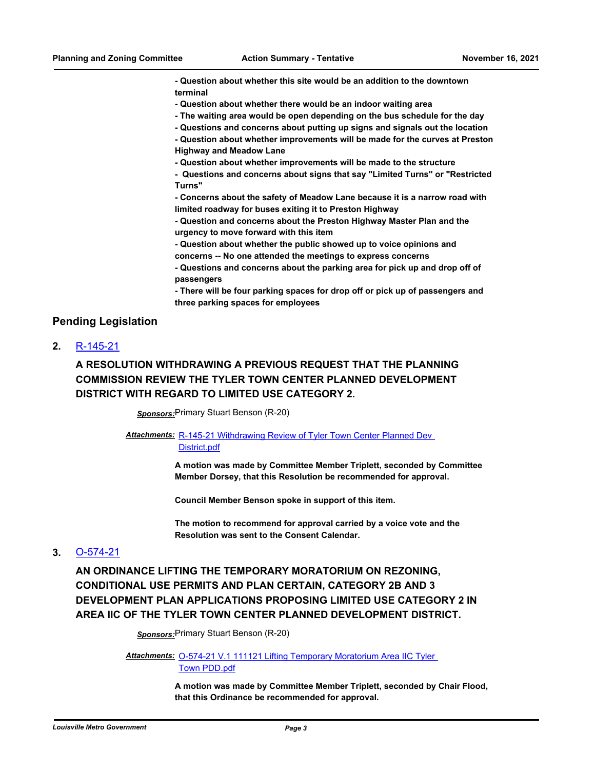**- Question about whether this site would be an addition to the downtown terminal**

- **Question about whether there would be an indoor waiting area**
- **The waiting area would be open depending on the bus schedule for the day**
- **Questions and concerns about putting up signs and signals out the location**
- **Question about whether improvements will be made for the curves at Preston Highway and Meadow Lane**
- **Question about whether improvements will be made to the structure**

**- Questions and concerns about signs that say "Limited Turns" or "Restricted Turns"**

**- Concerns about the safety of Meadow Lane because it is a narrow road with limited roadway for buses exiting it to Preston Highway**

**- Question and concerns about the Preston Highway Master Plan and the urgency to move forward with this item**

- **Question about whether the public showed up to voice opinions and**
- **concerns -- No one attended the meetings to express concerns**
- **Questions and concerns about the parking area for pick up and drop off of passengers**

**- There will be four parking spaces for drop off or pick up of passengers and three parking spaces for employees**

#### **Pending Legislation**

**2.** [R-145-21](http://louisville.legistar.com/gateway.aspx?m=l&id=/matter.aspx?key=58954)

## **A RESOLUTION WITHDRAWING A PREVIOUS REQUEST THAT THE PLANNING COMMISSION REVIEW THE TYLER TOWN CENTER PLANNED DEVELOPMENT DISTRICT WITH REGARD TO LIMITED USE CATEGORY 2.**

*Sponsors:*Primary Stuart Benson (R-20)

#### Attachments: R-145-21 Withdrawing Review of Tyler Town Center Planned Dev District.pdf

**A motion was made by Committee Member Triplett, seconded by Committee Member Dorsey, that this Resolution be recommended for approval.**

**Council Member Benson spoke in support of this item.**

**The motion to recommend for approval carried by a voice vote and the Resolution was sent to the Consent Calendar.**

#### **3.** [O-574-21](http://louisville.legistar.com/gateway.aspx?m=l&id=/matter.aspx?key=58956)

**AN ORDINANCE LIFTING THE TEMPORARY MORATORIUM ON REZONING, CONDITIONAL USE PERMITS AND PLAN CERTAIN, CATEGORY 2B AND 3 DEVELOPMENT PLAN APPLICATIONS PROPOSING LIMITED USE CATEGORY 2 IN AREA IIC OF THE TYLER TOWN CENTER PLANNED DEVELOPMENT DISTRICT.**

*Sponsors:*Primary Stuart Benson (R-20)

Attachments: O-574-21 V.1 111121 Lifting Temporary Moratorium Area IIC Tyler Town PDD.pdf

> **A motion was made by Committee Member Triplett, seconded by Chair Flood, that this Ordinance be recommended for approval.**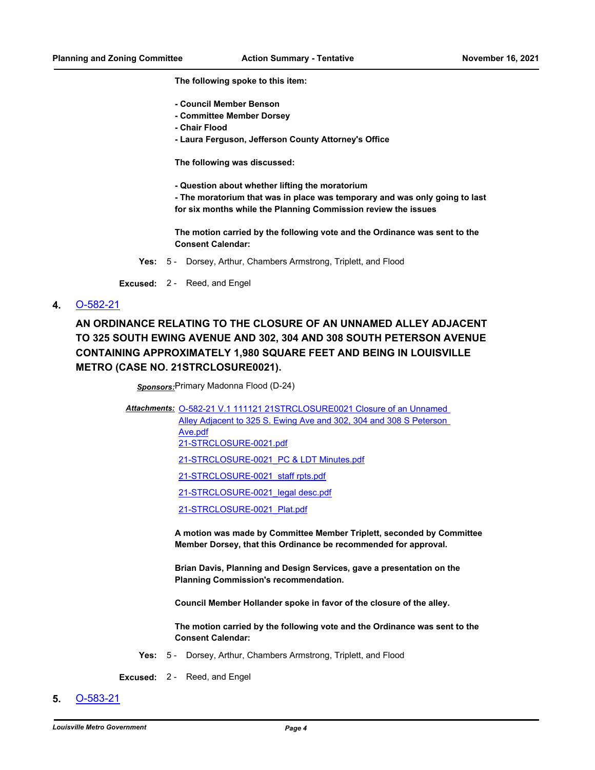**The following spoke to this item:**

- **Council Member Benson**
- **Committee Member Dorsey**
- **Chair Flood**
- **Laura Ferguson, Jefferson County Attorney's Office**

**The following was discussed:**

**- Question about whether lifting the moratorium** 

**- The moratorium that was in place was temporary and was only going to last for six months while the Planning Commission review the issues**

**The motion carried by the following vote and the Ordinance was sent to the Consent Calendar:**

**Yes:** 5 - Dorsey, Arthur, Chambers Armstrong, Triplett, and Flood

**Excused:** 2 - Reed, and Engel

**4.** [O-582-21](http://louisville.legistar.com/gateway.aspx?m=l&id=/matter.aspx?key=59002)

**AN ORDINANCE RELATING TO THE CLOSURE OF AN UNNAMED ALLEY ADJACENT TO 325 SOUTH EWING AVENUE AND 302, 304 AND 308 SOUTH PETERSON AVENUE CONTAINING APPROXIMATELY 1,980 SQUARE FEET AND BEING IN LOUISVILLE METRO (CASE NO. 21STRCLOSURE0021).**

*Sponsors:*Primary Madonna Flood (D-24)

Attachments: O-582-21 V.1 111121 21STRCLOSURE0021 Closure of an Unnamed

Alley Adjacent to 325 S. Ewing Ave and 302, 304 and 308 S Peterson

Ave.pdf [21-STRCLOSURE-0021.pdf](http://louisville.legistar.com/gateway.aspx?M=F&ID=29c48f60-a031-4c9a-9d0e-efe6df8e6fbd.pdf)

[21-STRCLOSURE-0021\\_PC & LDT Minutes.pdf](http://louisville.legistar.com/gateway.aspx?M=F&ID=3cc00bb0-a86b-405d-94f7-a1087e97b7cf.pdf)

[21-STRCLOSURE-0021\\_staff rpts.pdf](http://louisville.legistar.com/gateway.aspx?M=F&ID=7d299db5-a856-488a-a124-0bd74ea191d3.pdf)

[21-STRCLOSURE-0021\\_legal desc.pdf](http://louisville.legistar.com/gateway.aspx?M=F&ID=4dc3b1f0-bdfe-472e-9cf2-3978ef1b4198.pdf)

[21-STRCLOSURE-0021\\_Plat.pdf](http://louisville.legistar.com/gateway.aspx?M=F&ID=86308525-dbe6-49a8-8e7d-19fb012b3be3.pdf)

**A motion was made by Committee Member Triplett, seconded by Committee Member Dorsey, that this Ordinance be recommended for approval.** 

**Brian Davis, Planning and Design Services, gave a presentation on the Planning Commission's recommendation.** 

**Council Member Hollander spoke in favor of the closure of the alley.**

**The motion carried by the following vote and the Ordinance was sent to the Consent Calendar:**

**Yes:** 5 - Dorsey, Arthur, Chambers Armstrong, Triplett, and Flood

**Excused:** 2 - Reed, and Engel

**5.** [O-583-21](http://louisville.legistar.com/gateway.aspx?m=l&id=/matter.aspx?key=59003)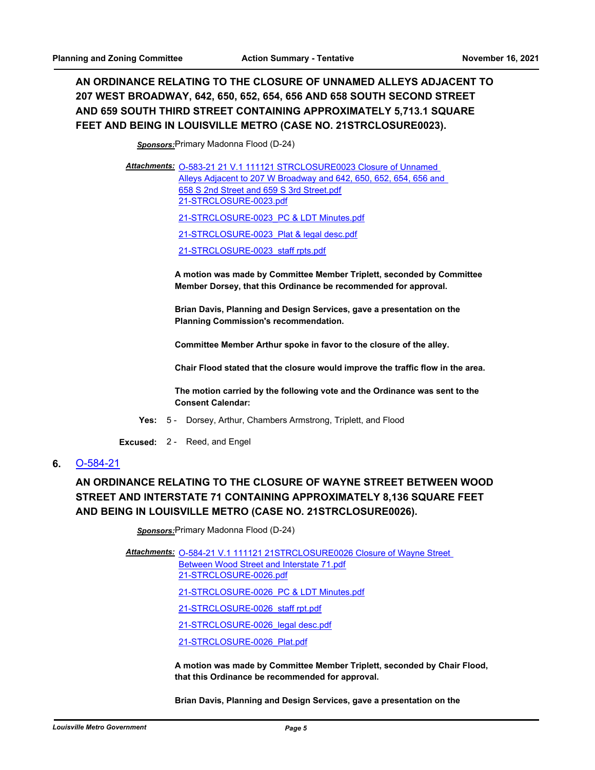## **AN ORDINANCE RELATING TO THE CLOSURE OF UNNAMED ALLEYS ADJACENT TO 207 WEST BROADWAY, 642, 650, 652, 654, 656 AND 658 SOUTH SECOND STREET AND 659 SOUTH THIRD STREET CONTAINING APPROXIMATELY 5,713.1 SQUARE FEET AND BEING IN LOUISVILLE METRO (CASE NO. 21STRCLOSURE0023).**

*Sponsors:*Primary Madonna Flood (D-24)

Attachments: 0-583-21 21 V.1 111121 STRCLOSURE0023 Closure of Unnamed [Alleys Adjacent to 207 W Broadway and 642, 650, 652, 654, 656 and](http://louisville.legistar.com/gateway.aspx?M=F&ID=7e1202c9-d8d8-4434-b6f9-0a445f76b9f0.pdf)  658 S 2nd Street and 659 S 3rd Street.pdf [21-STRCLOSURE-0023.pdf](http://louisville.legistar.com/gateway.aspx?M=F&ID=537560f7-8ef4-461b-b0d4-67003a2d0c94.pdf) [21-STRCLOSURE-0023\\_PC & LDT Minutes.pdf](http://louisville.legistar.com/gateway.aspx?M=F&ID=8221695b-13c8-4fb4-9d3d-a863d63058cf.pdf)

[21-STRCLOSURE-0023\\_Plat & legal desc.pdf](http://louisville.legistar.com/gateway.aspx?M=F&ID=18d74232-ef1f-440f-af80-4b1b072d8c41.pdf)

[21-STRCLOSURE-0023\\_staff rpts.pdf](http://louisville.legistar.com/gateway.aspx?M=F&ID=c85a0f04-e0bc-4208-ac90-2fc0d5af9c65.pdf)

**A motion was made by Committee Member Triplett, seconded by Committee Member Dorsey, that this Ordinance be recommended for approval.** 

**Brian Davis, Planning and Design Services, gave a presentation on the Planning Commission's recommendation.** 

**Committee Member Arthur spoke in favor to the closure of the alley.**

**Chair Flood stated that the closure would improve the traffic flow in the area.**

**The motion carried by the following vote and the Ordinance was sent to the Consent Calendar:**

- **Yes:** 5 Dorsey, Arthur, Chambers Armstrong, Triplett, and Flood
- **Excused:** 2 Reed, and Engel

#### **6.** [O-584-21](http://louisville.legistar.com/gateway.aspx?m=l&id=/matter.aspx?key=59004)

# **AN ORDINANCE RELATING TO THE CLOSURE OF WAYNE STREET BETWEEN WOOD STREET AND INTERSTATE 71 CONTAINING APPROXIMATELY 8,136 SQUARE FEET AND BEING IN LOUISVILLE METRO (CASE NO. 21STRCLOSURE0026).**

*Sponsors:*Primary Madonna Flood (D-24)

Attachments: O-584-21 V.1 111121 21STRCLOSURE0026 Closure of Wayne Street Between Wood Street and Interstate 71.pdf [21-STRCLOSURE-0026.pdf](http://louisville.legistar.com/gateway.aspx?M=F&ID=f5b19162-fa0c-42a4-bc91-34b83bd21542.pdf) [21-STRCLOSURE-0026\\_PC & LDT Minutes.pdf](http://louisville.legistar.com/gateway.aspx?M=F&ID=893d29ad-f83f-4ed0-a6ec-dead5b663f68.pdf) [21-STRCLOSURE-0026\\_staff rpt.pdf](http://louisville.legistar.com/gateway.aspx?M=F&ID=238f556c-cc5d-41d6-876f-dea14afe39d0.pdf) [21-STRCLOSURE-0026\\_legal desc.pdf](http://louisville.legistar.com/gateway.aspx?M=F&ID=3bc7c14d-e55a-4d7a-8ea6-9daf60bfe40f.pdf) [21-STRCLOSURE-0026\\_Plat.pdf](http://louisville.legistar.com/gateway.aspx?M=F&ID=ea8be711-3770-4917-a6f7-5acde4096901.pdf)

> **A motion was made by Committee Member Triplett, seconded by Chair Flood, that this Ordinance be recommended for approval.**

**Brian Davis, Planning and Design Services, gave a presentation on the**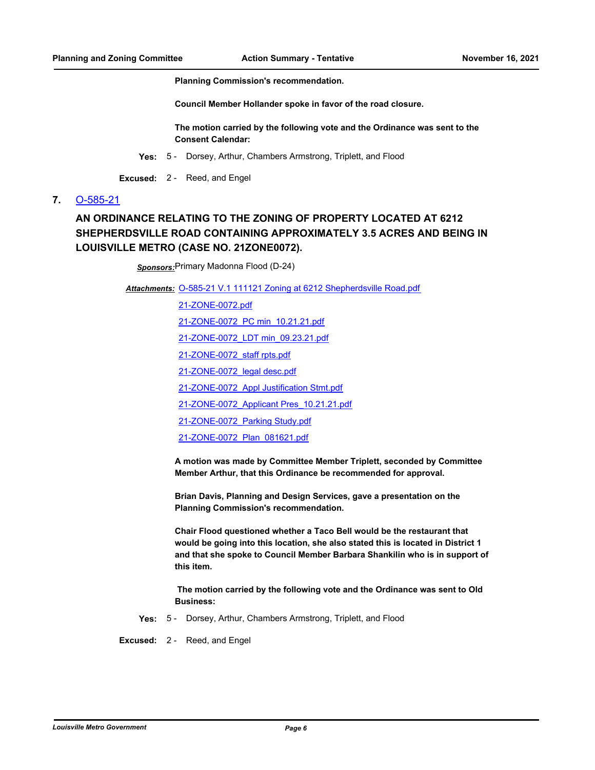**Planning Commission's recommendation.** 

**Council Member Hollander spoke in favor of the road closure.** 

**The motion carried by the following vote and the Ordinance was sent to the Consent Calendar:**

- **Yes:** 5 Dorsey, Arthur, Chambers Armstrong, Triplett, and Flood
- **Excused:** 2 Reed, and Engel

### **7.** [O-585-21](http://louisville.legistar.com/gateway.aspx?m=l&id=/matter.aspx?key=59005)

## **AN ORDINANCE RELATING TO THE ZONING OF PROPERTY LOCATED AT 6212 SHEPHERDSVILLE ROAD CONTAINING APPROXIMATELY 3.5 ACRES AND BEING IN LOUISVILLE METRO (CASE NO. 21ZONE0072).**

*Sponsors:*Primary Madonna Flood (D-24)

Attachments: [O-585-21 V.1 111121 Zoning at 6212 Shepherdsville Road.pdf](http://louisville.legistar.com/gateway.aspx?M=F&ID=8ec8817d-b979-4102-a7af-ccbfede95c9c.pdf)

[21-ZONE-0072.pdf](http://louisville.legistar.com/gateway.aspx?M=F&ID=0d3f1a68-6c81-4862-87ce-a7a185317a40.pdf) [21-ZONE-0072\\_PC min\\_10.21.21.pdf](http://louisville.legistar.com/gateway.aspx?M=F&ID=bbf02bfe-3d51-48b9-be90-779188fabefd.pdf)

[21-ZONE-0072\\_LDT min\\_09.23.21.pdf](http://louisville.legistar.com/gateway.aspx?M=F&ID=2ed012bf-0dfb-4156-b0a7-314b665f269a.pdf)

[21-ZONE-0072\\_staff rpts.pdf](http://louisville.legistar.com/gateway.aspx?M=F&ID=52f8d8b5-1846-4fa8-bce1-1ca98cec401a.pdf)

[21-ZONE-0072\\_legal desc.pdf](http://louisville.legistar.com/gateway.aspx?M=F&ID=6676af7d-a9d2-4b5c-b748-2ec3894e6759.pdf)

[21-ZONE-0072\\_Appl Justification Stmt.pdf](http://louisville.legistar.com/gateway.aspx?M=F&ID=1b07e7e3-f469-46cc-a05a-c7af5bb5c964.pdf)

[21-ZONE-0072\\_Applicant Pres\\_10.21.21.pdf](http://louisville.legistar.com/gateway.aspx?M=F&ID=04162199-a4a6-490d-8397-6ec5a1d2fd80.pdf)

[21-ZONE-0072\\_Parking Study.pdf](http://louisville.legistar.com/gateway.aspx?M=F&ID=ebf35cc6-c4ee-428e-b3f7-19e752b34a94.pdf)

[21-ZONE-0072\\_Plan\\_081621.pdf](http://louisville.legistar.com/gateway.aspx?M=F&ID=1a2bac60-28fa-4a07-975b-978a4c0e623f.pdf)

**A motion was made by Committee Member Triplett, seconded by Committee Member Arthur, that this Ordinance be recommended for approval.**

**Brian Davis, Planning and Design Services, gave a presentation on the Planning Commission's recommendation.** 

**Chair Flood questioned whether a Taco Bell would be the restaurant that would be going into this location, she also stated this is located in District 1 and that she spoke to Council Member Barbara Shankilin who is in support of this item.**

 **The motion carried by the following vote and the Ordinance was sent to Old Business:**

**Yes:** 5 - Dorsey, Arthur, Chambers Armstrong, Triplett, and Flood

**Excused:** 2 - Reed, and Engel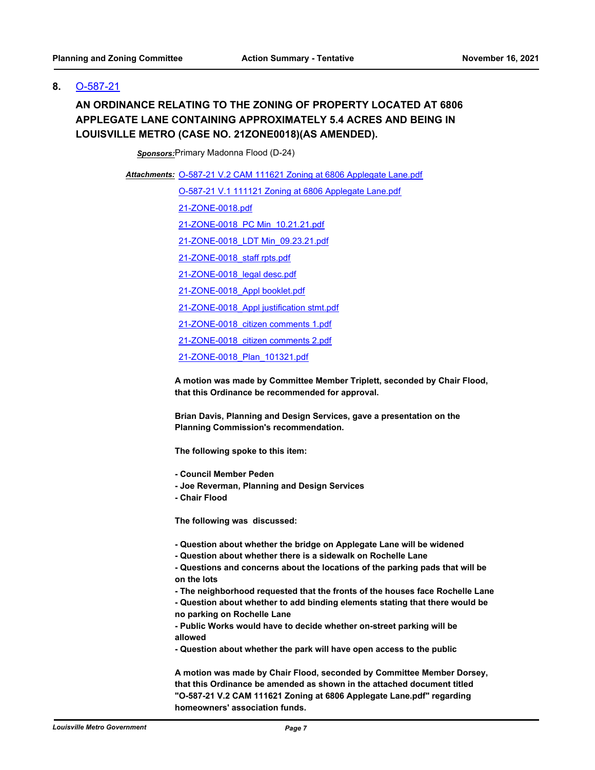### **8.** [O-587-21](http://louisville.legistar.com/gateway.aspx?m=l&id=/matter.aspx?key=59008)

## **AN ORDINANCE RELATING TO THE ZONING OF PROPERTY LOCATED AT 6806 APPLEGATE LANE CONTAINING APPROXIMATELY 5.4 ACRES AND BEING IN LOUISVILLE METRO (CASE NO. 21ZONE0018)(AS AMENDED).**

*Sponsors:*Primary Madonna Flood (D-24)

Attachments: [O-587-21 V.2 CAM 111621 Zoning at 6806 Applegate Lane.pdf](http://louisville.legistar.com/gateway.aspx?M=F&ID=a9a3d7c9-2248-40ef-a347-f192487fc151.pdf) [O-587-21 V.1 111121 Zoning at 6806 Applegate Lane.pdf](http://louisville.legistar.com/gateway.aspx?M=F&ID=ae519594-df94-48ac-9f04-822b2bd72288.pdf) [21-ZONE-0018.pdf](http://louisville.legistar.com/gateway.aspx?M=F&ID=29b7ec63-c1a5-41d7-bc55-84ed425a9a5c.pdf) [21-ZONE-0018\\_PC Min\\_10.21.21.pdf](http://louisville.legistar.com/gateway.aspx?M=F&ID=9a8f765c-f725-4b18-9aed-d06a00c144cb.pdf) [21-ZONE-0018\\_LDT Min\\_09.23.21.pdf](http://louisville.legistar.com/gateway.aspx?M=F&ID=7c10625c-9a76-4f20-8b00-6c5f428b9903.pdf) [21-ZONE-0018\\_staff rpts.pdf](http://louisville.legistar.com/gateway.aspx?M=F&ID=8966f889-da44-46d3-94ff-8652d8f63feb.pdf) [21-ZONE-0018\\_legal desc.pdf](http://louisville.legistar.com/gateway.aspx?M=F&ID=60f3e4c4-8147-4b30-8690-01fa4dc1370c.pdf) [21-ZONE-0018\\_Appl booklet.pdf](http://louisville.legistar.com/gateway.aspx?M=F&ID=7f1350de-4ffb-4e47-b545-1c4ac79c57e7.pdf) [21-ZONE-0018\\_Appl justification stmt.pdf](http://louisville.legistar.com/gateway.aspx?M=F&ID=5d4c7737-3a6e-406a-8fa4-8828bf8d0c18.pdf) [21-ZONE-0018\\_citizen comments 1.pdf](http://louisville.legistar.com/gateway.aspx?M=F&ID=c17df241-249f-414d-9069-9bb82edd20ad.pdf) [21-ZONE-0018\\_citizen comments 2.pdf](http://louisville.legistar.com/gateway.aspx?M=F&ID=07a95412-99d6-4475-8039-746e3393e0a8.pdf) [21-ZONE-0018\\_Plan\\_101321.pdf](http://louisville.legistar.com/gateway.aspx?M=F&ID=150a7c33-f212-4e6b-be57-aff413003365.pdf)

> **A motion was made by Committee Member Triplett, seconded by Chair Flood, that this Ordinance be recommended for approval.**

**Brian Davis, Planning and Design Services, gave a presentation on the Planning Commission's recommendation.** 

**The following spoke to this item:**

- **Council Member Peden**
- **Joe Reverman, Planning and Design Services**
- **Chair Flood**

**The following was discussed:**

- **Question about whether the bridge on Applegate Lane will be widened**
- **Question about whether there is a sidewalk on Rochelle Lane**

**- Questions and concerns about the locations of the parking pads that will be on the lots**

- **The neighborhood requested that the fronts of the houses face Rochelle Lane**
- **Question about whether to add binding elements stating that there would be no parking on Rochelle Lane**

**- Public Works would have to decide whether on-street parking will be allowed**

**- Question about whether the park will have open access to the public** 

**A motion was made by Chair Flood, seconded by Committee Member Dorsey, that this Ordinance be amended as shown in the attached document titled "O-587-21 V.2 CAM 111621 Zoning at 6806 Applegate Lane.pdf" regarding homeowners' association funds.**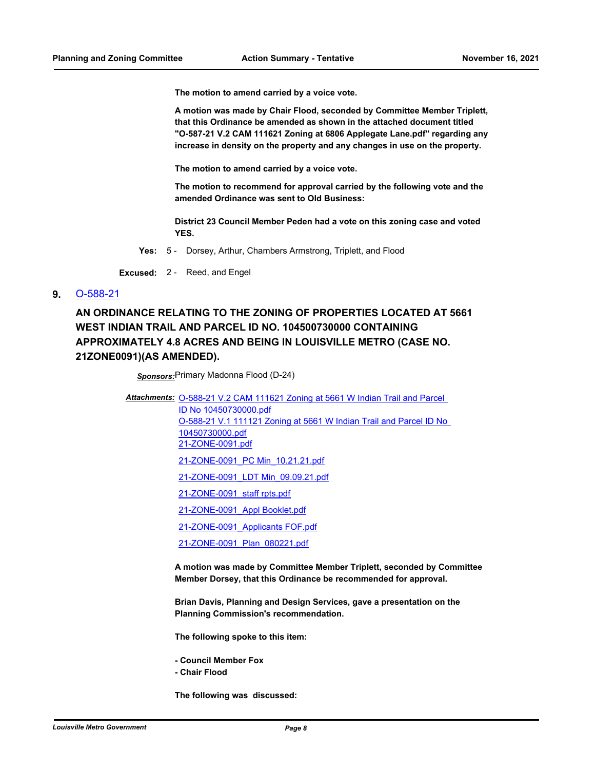**The motion to amend carried by a voice vote.**

**A motion was made by Chair Flood, seconded by Committee Member Triplett, that this Ordinance be amended as shown in the attached document titled "O-587-21 V.2 CAM 111621 Zoning at 6806 Applegate Lane.pdf" regarding any increase in density on the property and any changes in use on the property.** 

**The motion to amend carried by a voice vote.**

**The motion to recommend for approval carried by the following vote and the amended Ordinance was sent to Old Business:**

**District 23 Council Member Peden had a vote on this zoning case and voted YES.**

**Yes:** 5 - Dorsey, Arthur, Chambers Armstrong, Triplett, and Flood

**Excused:** 2 - Reed, and Engel

**9.** [O-588-21](http://louisville.legistar.com/gateway.aspx?m=l&id=/matter.aspx?key=59009)

**AN ORDINANCE RELATING TO THE ZONING OF PROPERTIES LOCATED AT 5661 WEST INDIAN TRAIL AND PARCEL ID NO. 104500730000 CONTAINING APPROXIMATELY 4.8 ACRES AND BEING IN LOUISVILLE METRO (CASE NO. 21ZONE0091)(AS AMENDED).**

*Sponsors:*Primary Madonna Flood (D-24)

Attachments: O-588-21 V.2 CAM 111621 Zoning at 5661 W Indian Trail and Parcel

ID No 10450730000.pdf [O-588-21 V.1 111121 Zoning at 5661 W Indian Trail and Parcel ID No](http://louisville.legistar.com/gateway.aspx?M=F&ID=ba0e8cdc-cb73-473e-b7b0-abae2302fc29.pdf)  10450730000.pdf [21-ZONE-0091.pdf](http://louisville.legistar.com/gateway.aspx?M=F&ID=9edb69d6-881f-4514-bfb2-5c2c8ce9ac96.pdf)

[21-ZONE-0091\\_PC Min\\_10.21.21.pdf](http://louisville.legistar.com/gateway.aspx?M=F&ID=d7e7b361-ade8-49ef-a0eb-66ba6fcd83fe.pdf)

- [21-ZONE-0091\\_LDT Min\\_09.09.21.pdf](http://louisville.legistar.com/gateway.aspx?M=F&ID=da680a94-26e4-41c1-8357-5e893fb1407d.pdf)
- [21-ZONE-0091\\_staff rpts.pdf](http://louisville.legistar.com/gateway.aspx?M=F&ID=fbfcf6f9-2d55-4c58-8512-a8e1961b9b52.pdf)

[21-ZONE-0091\\_Appl Booklet.pdf](http://louisville.legistar.com/gateway.aspx?M=F&ID=97ca02cd-81b2-449a-a685-90c1d601e01d.pdf)

[21-ZONE-0091\\_Applicants FOF.pdf](http://louisville.legistar.com/gateway.aspx?M=F&ID=1b1ffd8f-9b1b-4c80-8fd2-3e7837e308e5.pdf)

[21-ZONE-0091\\_Plan\\_080221.pdf](http://louisville.legistar.com/gateway.aspx?M=F&ID=07db8dd5-7f81-40a7-abcc-e8b4b088d0e9.pdf)

**A motion was made by Committee Member Triplett, seconded by Committee Member Dorsey, that this Ordinance be recommended for approval.**

**Brian Davis, Planning and Design Services, gave a presentation on the Planning Commission's recommendation.** 

**The following spoke to this item:**

**- Council Member Fox - Chair Flood**

**The following was discussed:**